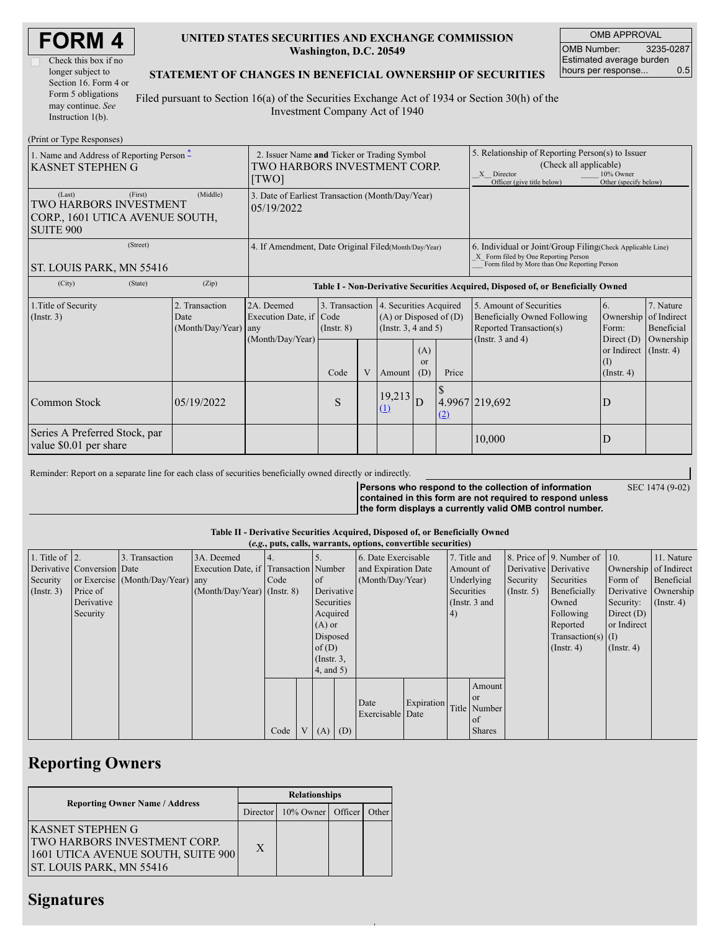| <b>FORM4</b> |  |
|--------------|--|
|--------------|--|

| Check this box if no  |
|-----------------------|
| longer subject to     |
| Section 16. Form 4 or |
| Form 5 obligations    |
| may continue. See     |
| Instruction $1(b)$ .  |

### **UNITED STATES SECURITIES AND EXCHANGE COMMISSION Washington, D.C. 20549**

OMB APPROVAL OMB Number: 3235-0287 Estimated average burden hours per response... 0.5

SEC 1474 (9-02)

### **STATEMENT OF CHANGES IN BENEFICIAL OWNERSHIP OF SECURITIES**

Filed pursuant to Section 16(a) of the Securities Exchange Act of 1934 or Section 30(h) of the Investment Company Act of 1940

| (Print or Type Responses)                                                               |                                                                                      |            |                                                                                  |      |                                                                                  |                                                                                                                                                              |                             |                                                                                                                                                     |                          |                                                      |                            |
|-----------------------------------------------------------------------------------------|--------------------------------------------------------------------------------------|------------|----------------------------------------------------------------------------------|------|----------------------------------------------------------------------------------|--------------------------------------------------------------------------------------------------------------------------------------------------------------|-----------------------------|-----------------------------------------------------------------------------------------------------------------------------------------------------|--------------------------|------------------------------------------------------|----------------------------|
| 1. Name and Address of Reporting Person $\tilde{-}$<br><b>KASNET STEPHEN G</b>          | 2. Issuer Name and Ticker or Trading Symbol<br>TWO HARBORS INVESTMENT CORP.<br>[TWO] |            |                                                                                  |      |                                                                                  | 5. Relationship of Reporting Person(s) to Issuer<br>(Check all applicable)<br>X Director<br>10% Owner<br>Officer (give title below)<br>Other (specify below) |                             |                                                                                                                                                     |                          |                                                      |                            |
| (Last)<br>TWO HARBORS INVESTMENT<br>CORP., 1601 UTICA AVENUE SOUTH,<br><b>SUITE 900</b> | 3. Date of Earliest Transaction (Month/Day/Year)<br>05/19/2022                       |            |                                                                                  |      |                                                                                  |                                                                                                                                                              |                             |                                                                                                                                                     |                          |                                                      |                            |
| (Street)<br>ST. LOUIS PARK, MN 55416                                                    |                                                                                      |            | 4. If Amendment, Date Original Filed (Month/Day/Year)                            |      |                                                                                  |                                                                                                                                                              |                             | 6. Individual or Joint/Group Filing (Check Applicable Line)<br>X Form filed by One Reporting Person<br>Form filed by More than One Reporting Person |                          |                                                      |                            |
| (City)                                                                                  | (State)                                                                              | (Zip)      | Table I - Non-Derivative Securities Acquired, Disposed of, or Beneficially Owned |      |                                                                                  |                                                                                                                                                              |                             |                                                                                                                                                     |                          |                                                      |                            |
| 1. Title of Security<br>$($ Instr. 3 $)$                                                | 2. Transaction<br>Date<br>(Month/Day/Year)<br>any                                    |            | 2A. Deemed<br>3. Transaction<br>Execution Date, if Code<br>$($ Instr. $8)$       |      | 4. Securities Acquired<br>$(A)$ or Disposed of $(D)$<br>(Instr. $3, 4$ and $5$ ) |                                                                                                                                                              |                             | 5. Amount of Securities<br>Beneficially Owned Following<br>Reported Transaction(s)                                                                  | 6.<br>Ownership<br>Form: | 7. Nature<br>of Indirect<br>Beneficial               |                            |
|                                                                                         |                                                                                      |            | (Month/Day/Year)                                                                 | Code | V                                                                                | Amount                                                                                                                                                       | (A)<br><sub>or</sub><br>(D) | Price                                                                                                                                               | (Instr. $3$ and $4$ )    | Direct (D)<br>or Indirect<br>(I)<br>$($ Instr. 4 $)$ | Ownership<br>$($ Instr. 4) |
| Common Stock                                                                            |                                                                                      | 05/19/2022 |                                                                                  | S    |                                                                                  | 19,213<br>(1)                                                                                                                                                | D                           | (2)                                                                                                                                                 | 4.9967 219,692           | D                                                    |                            |
| Series A Preferred Stock, par<br>value \$0.01 per share                                 |                                                                                      |            |                                                                                  |      |                                                                                  |                                                                                                                                                              |                             |                                                                                                                                                     | 10,000                   | D                                                    |                            |

Reminder: Report on a separate line for each class of securities beneficially owned directly or indirectly.

**Persons who respond to the collection of information contained in this form are not required to respond unless the form displays a currently valid OMB control number.**

**Table II - Derivative Securities Acquired, Disposed of, or Beneficially Owned**

|                    |                            |                                  |                                       |      |                  |     | (e.g., puts, calls, warrants, options, convertible securities) |            |            |                 |                       |                              |                       |               |
|--------------------|----------------------------|----------------------------------|---------------------------------------|------|------------------|-----|----------------------------------------------------------------|------------|------------|-----------------|-----------------------|------------------------------|-----------------------|---------------|
| 1. Title of $ 2$ . |                            | 3. Transaction                   | 3A. Deemed                            |      |                  |     | 6. Date Exercisable                                            |            |            | 7. Title and    |                       | 8. Price of 9. Number of 10. |                       | 11. Nature    |
|                    | Derivative Conversion Date |                                  | Execution Date, if Transaction Number |      |                  |     | and Expiration Date                                            |            |            | Amount of       | Derivative Derivative |                              | Ownership of Indirect |               |
| Security           |                            | or Exercise (Month/Day/Year) any |                                       | Code | of               |     | (Month/Dav/Year)                                               |            |            | Underlying      | Security              | Securities                   | Form of               | Beneficial    |
| $($ Instr. 3 $)$   | Price of                   |                                  | $(Month/Day/Year)$ (Instr. 8)         |      | Derivative       |     |                                                                |            | Securities |                 | $($ Instr. 5 $)$      | Beneficially                 | Derivative Ownership  |               |
|                    | Derivative                 |                                  |                                       |      | Securities       |     |                                                                |            |            | (Instr. $3$ and |                       | Owned                        | Security:             | $($ Instr. 4) |
|                    | Security                   |                                  |                                       |      | Acquired         |     |                                                                |            | 4)         |                 |                       | Following                    | Direct $(D)$          |               |
|                    |                            |                                  |                                       |      | $(A)$ or         |     |                                                                |            |            |                 |                       | Reported                     | or Indirect           |               |
|                    |                            |                                  |                                       |      | Disposed         |     |                                                                |            |            |                 |                       | Transaction(s) $(I)$         |                       |               |
|                    |                            |                                  |                                       |      | of $(D)$         |     |                                                                |            |            |                 |                       | $($ Instr. 4 $)$             | $($ Instr. 4 $)$      |               |
|                    |                            |                                  |                                       |      | $($ Instr. $3$ , |     |                                                                |            |            |                 |                       |                              |                       |               |
|                    |                            |                                  |                                       |      | $4$ , and $5)$   |     |                                                                |            |            |                 |                       |                              |                       |               |
|                    |                            |                                  |                                       |      |                  |     |                                                                |            |            | Amount          |                       |                              |                       |               |
|                    |                            |                                  |                                       |      |                  |     |                                                                |            |            | <b>or</b>       |                       |                              |                       |               |
|                    |                            |                                  |                                       |      |                  |     | Date                                                           | Expiration |            | Title Number    |                       |                              |                       |               |
|                    |                            |                                  |                                       |      |                  |     | Exercisable Date                                               |            |            | of              |                       |                              |                       |               |
|                    |                            |                                  |                                       | Code | (A)              | (D) |                                                                |            |            | <b>Shares</b>   |                       |                              |                       |               |

## **Reporting Owners**

|                                                                                                                                         | <b>Relationships</b> |                                  |  |  |  |  |  |
|-----------------------------------------------------------------------------------------------------------------------------------------|----------------------|----------------------------------|--|--|--|--|--|
| <b>Reporting Owner Name / Address</b>                                                                                                   |                      | Director 10% Owner Officer Other |  |  |  |  |  |
| <b>KASNET STEPHEN G</b><br><b>TWO HARBORS INVESTMENT CORP.</b><br>1601 UTICA AVENUE SOUTH, SUITE 900<br><b>ST. LOUIS PARK, MN 55416</b> | X                    |                                  |  |  |  |  |  |

# **Signatures**